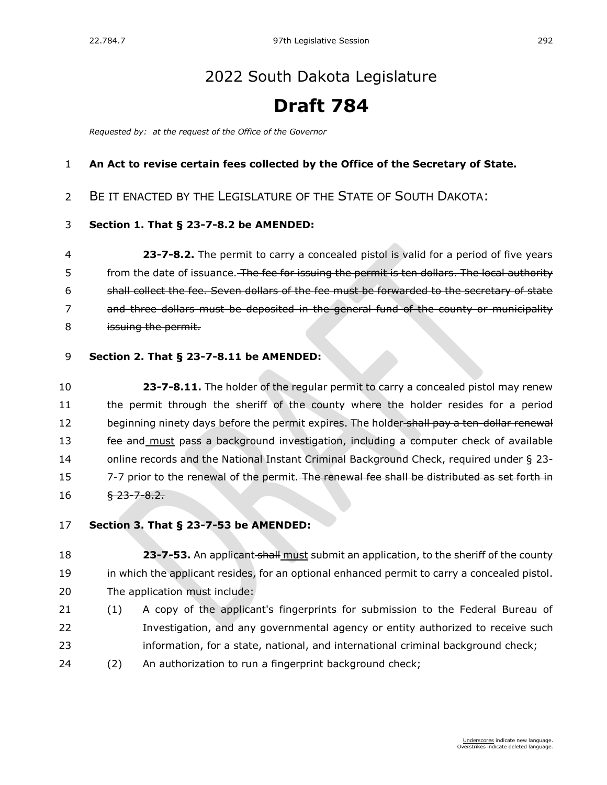# [2022 South Dakota Legislature](https://sdlegislature.gov/Session/Bills/64)

# **Draft 784**

*Requested by: at the request of the Office of the Governor*

## **An Act to revise certain fees collected by the Office of the Secretary of State.**

# BE IT ENACTED BY THE LEGISLATURE OF THE STATE OF SOUTH DAKOTA:

### **Section 1. [That § 23-7-8.2 be AMENDED:](https://sdlegislature.gov/Statutes?Statute=23-7-8.2)**

 **[23-7-8.2.](https://sdlegislature.gov/Statutes/Codified_Laws/DisplayStatute.aspx?Type=Statute&Statute=23-7-8.2)** The permit to carry a concealed pistol is valid for a period of five years 5 from the date of issuance. The fee for issuing the permit is ten dollars. The local authority shall collect the fee. Seven dollars of the fee must be forwarded to the secretary of state and three dollars must be deposited in the general fund of the county or municipality 8 issuing the permit.

### **Section 2. [That § 23-7-8.11 be AMENDED:](https://sdlegislature.gov/Statutes?Statute=23-7-8.11)**

 **[23-7-8.11.](https://sdlegislature.gov/Statutes/Codified_Laws/DisplayStatute.aspx?Type=Statute&Statute=23-7-8.11)** The holder of the regular permit to carry a concealed pistol may renew the permit through the sheriff of the county where the holder resides for a period 12 beginning ninety days before the permit expires. The holder-shall pay a ten-dollar renewal 13 fee and must pass a background investigation, including a computer check of available online records and the National Instant Criminal Background Check, required under § [23-](https://sdlegislature.gov/Statutes/Codified_Laws/DisplayStatute.aspx?Type=Statute&Statute=23-7-7) [7-7](https://sdlegislature.gov/Statutes/Codified_Laws/DisplayStatute.aspx?Type=Statute&Statute=23-7-7) prior to the renewal of the permit. The renewal fee shall be distributed as set forth in  $16 \frac{1}{23} - \frac{1}{23} - \frac{1}{26}$ 

### **Section 3. [That § 23-7-53 be AMENDED:](https://sdlegislature.gov/Statutes?Statute=23-7-53)**

**23-7-53.** An applicant shall must submit an application, to the sheriff of the county in which the applicant resides, for an optional enhanced permit to carry a concealed pistol. The application must include:

- (1) A copy of the applicant's fingerprints for submission to the Federal Bureau of Investigation, and any governmental agency or entity authorized to receive such information, for a state, national, and international criminal background check;
- (2) An authorization to run a fingerprint background check;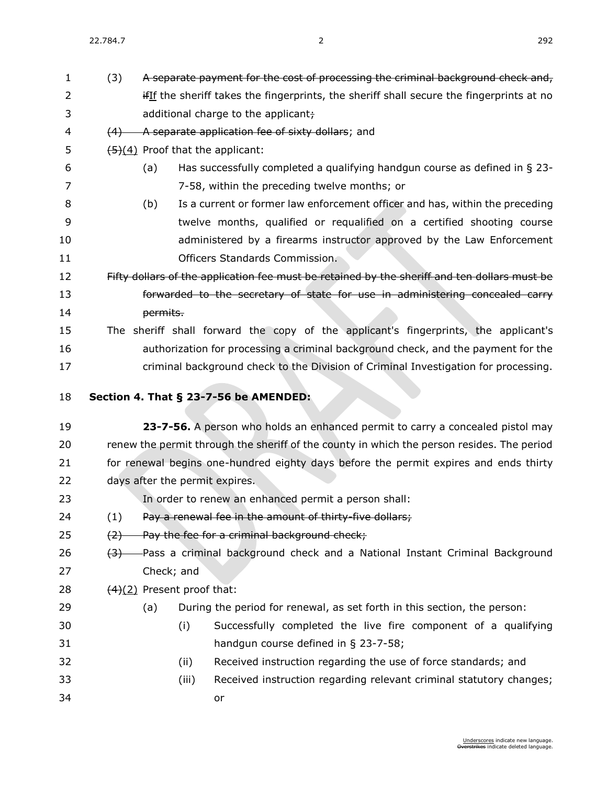(3) A separate payment for the cost of processing the criminal background check and, 2 ifIf the sheriff takes the fingerprints, the sheriff shall secure the fingerprints at no

- 3 additional charge to the applicant; 4 (4) A separate application fee of sixty dollars; and 5  $\left(5\right)(4)$  Proof that the applicant: (a) Has successfully completed a qualifying handgun course as defined in § [23-](https://sdlegislature.gov/Statutes/Codified_Laws/DisplayStatute.aspx?Type=Statute&Statute=23-7-58) [7-58,](https://sdlegislature.gov/Statutes/Codified_Laws/DisplayStatute.aspx?Type=Statute&Statute=23-7-58) within the preceding twelve months; or (b) Is a current or former law enforcement officer and has, within the preceding twelve months, qualified or requalified on a certified shooting course administered by a firearms instructor approved by the Law Enforcement Officers Standards Commission. 12 Fifty dollars of the application fee must be retained by the sheriff and ten dollars must be **forwarded to the secretary of state for use in administering concealed carry permits.**  The sheriff shall forward the copy of the applicant's fingerprints, the applicant's authorization for processing a criminal background check, and the payment for the criminal background check to the Division of Criminal Investigation for processing. **Section 4. [That § 23-7-56 be AMENDED:](https://sdlegislature.gov/Statutes?Statute=23-7-56) [23-7-56.](https://sdlegislature.gov/Statutes/Codified_Laws/DisplayStatute.aspx?Type=Statute&Statute=23-7-56)** A person who holds an enhanced permit to carry a concealed pistol may renew the permit through the sheriff of the county in which the person resides. The period for renewal begins one-hundred eighty days before the permit expires and ends thirty days after the permit expires. In order to renew an enhanced permit a person shall: 24 (1) Pay a renewal fee in the amount of thirty-five dollars; 25  $(2)$  Pay the fee for a criminal background check; 26  $(3)$  Pass a criminal background check and a National Instant Criminal Background Check; and 28  $(4)(2)$  Present proof that: (a) During the period for renewal, as set forth in this section, the person: (i) Successfully completed the live fire component of a qualifying handgun course defined in § [23-7-58;](https://sdlegislature.gov/Statutes/Codified_Laws/DisplayStatute.aspx?Type=Statute&Statute=23-7-58) (ii) Received instruction regarding the use of force standards; and
- (iii) Received instruction regarding relevant criminal statutory changes; or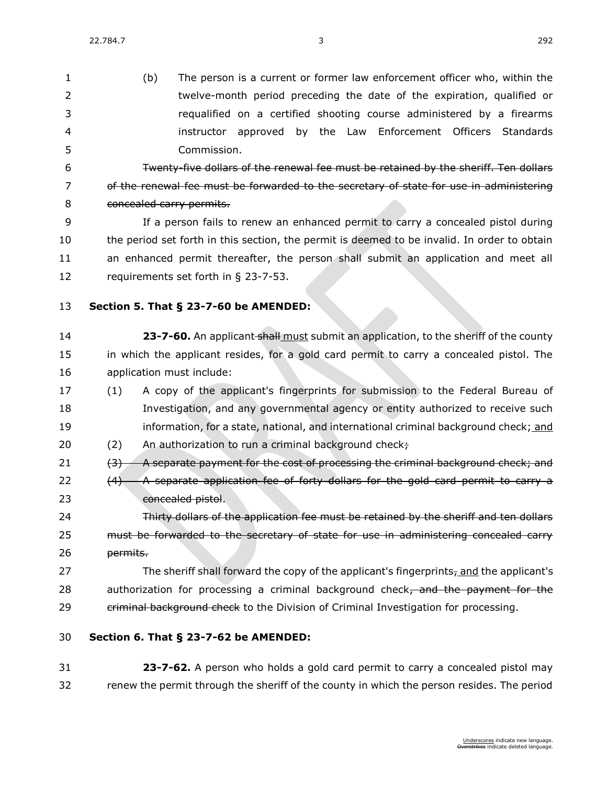| 1  | (b)<br>The person is a current or former law enforcement officer who, within the                    |  |
|----|-----------------------------------------------------------------------------------------------------|--|
| 2  | twelve-month period preceding the date of the expiration, qualified or                              |  |
| 3  | requalified on a certified shooting course administered by a firearms                               |  |
| 4  | by the Law Enforcement Officers Standards<br>instructor approved                                    |  |
| 5  | Commission.                                                                                         |  |
| 6  | Twenty-five dollars of the renewal fee must be retained by the sheriff. Ten dollars                 |  |
| 7  | of the renewal fee must be forwarded to the secretary of state for use in administering             |  |
| 8  | concealed carry permits.                                                                            |  |
| 9  | If a person fails to renew an enhanced permit to carry a concealed pistol during                    |  |
| 10 | the period set forth in this section, the permit is deemed to be invalid. In order to obtain        |  |
| 11 | an enhanced permit thereafter, the person shall submit an application and meet all                  |  |
| 12 | requirements set forth in $\S$ 23-7-53.                                                             |  |
| 13 | Section 5. That § 23-7-60 be AMENDED:                                                               |  |
|    |                                                                                                     |  |
| 14 | 23-7-60. An applicant shall must submit an application, to the sheriff of the county                |  |
| 15 | in which the applicant resides, for a gold card permit to carry a concealed pistol. The             |  |
| 16 | application must include:                                                                           |  |
| 17 | A copy of the applicant's fingerprints for submission to the Federal Bureau of<br>(1)               |  |
| 18 | Investigation, and any governmental agency or entity authorized to receive such                     |  |
| 19 | information, for a state, national, and international criminal background check; and                |  |
| 20 | (2)<br>An authorization to run a criminal background check+                                         |  |
| 21 | A separate payment for the cost of processing the criminal background check; and<br>(3)             |  |
| 22 | A separate application fee of forty dollars for the gold card permit to carry a<br>(4)              |  |
| 23 | concealed pistol.                                                                                   |  |
| 24 | Thirty dollars of the application fee must be retained by the sheriff and ten dollars               |  |
| 25 | must be forwarded to the secretary of state for use in administering concealed carry                |  |
| 26 | permits.                                                                                            |  |
| 27 | The sheriff shall forward the copy of the applicant's fingerprints <sub>7</sub> and the applicant's |  |
| 28 | authorization for processing a criminal background check, and the payment for the                   |  |
| 29 | eriminal background check to the Division of Criminal Investigation for processing.                 |  |
| 30 | Section 6. That § 23-7-62 be AMENDED:                                                               |  |
| 31 | 23-7-62. A person who holds a gold card permit to carry a concealed pistol may                      |  |
| 32 | renew the permit through the sheriff of the county in which the person resides. The period          |  |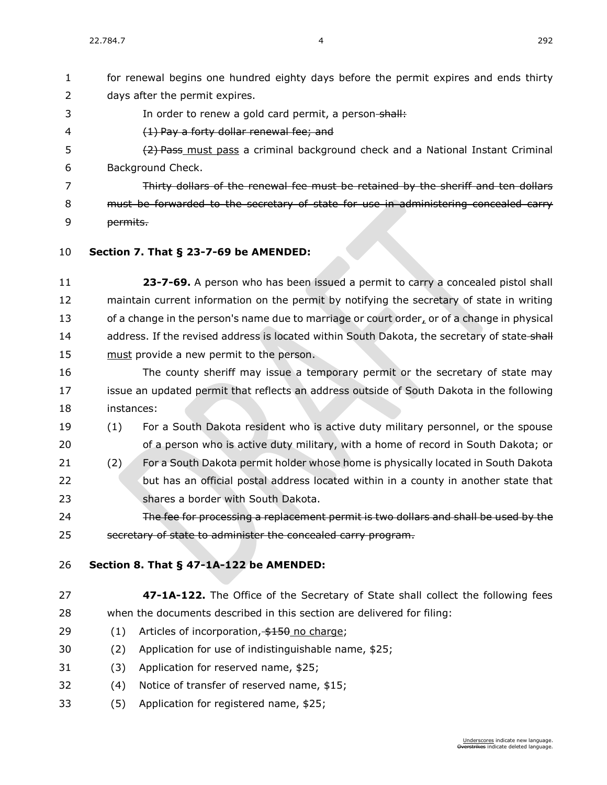days after the permit expires.

3 In order to renew a gold card permit, a person-shall:

for renewal begins one hundred eighty days before the permit expires and ends thirty

 (1) Pay a forty dollar renewal fee; and 5 (2) Pass must pass a criminal background check and a National Instant Criminal Background Check. Thirty dollars of the renewal fee must be retained by the sheriff and ten dollars must be forwarded to the secretary of state for use in administering concealed carry permits. **Section 7. [That § 23-7-69 be AMENDED:](https://sdlegislature.gov/Statutes?Statute=23-7-69) [23-7-69.](https://sdlegislature.gov/Statutes/Codified_Laws/DisplayStatute.aspx?Type=Statute&Statute=23-7-69)** A person who has been issued a permit to carry a concealed pistol shall maintain current information on the permit by notifying the secretary of state in writing of a change in the person's name due to marriage or court order, or of a change in physical 14 address. If the revised address is located within South Dakota, the secretary of state-shall 15 must provide a new permit to the person. The county sheriff may issue a temporary permit or the secretary of state may issue an updated permit that reflects an address outside of South Dakota in the following instances: (1) For a South Dakota resident who is active duty military personnel, or the spouse of a person who is active duty military, with a home of record in South Dakota; or (2) For a South Dakota permit holder whose home is physically located in South Dakota but has an official postal address located within in a county in another state that shares a border with South Dakota. The fee for processing a replacement permit is two dollars and shall be used by the 25 secretary of state to administer the concealed carry program. **Section 8. [That § 47-1A-122 be AMENDED:](https://sdlegislature.gov/Statutes?Statute=47-1A-122) [47-1A-122.](https://sdlegislature.gov/Statutes/Codified_Laws/DisplayStatute.aspx?Type=Statute&Statute=47-1A-122)** The Office of the Secretary of State shall collect the following fees when the documents described in this section are delivered for filing:  $(1)$  Articles of incorporation,  $\frac{4150}{100}$  no charge; (2) Application for use of indistinguishable name, \$25; (3) Application for reserved name, \$25; (4) Notice of transfer of reserved name, \$15; (5) Application for registered name, \$25;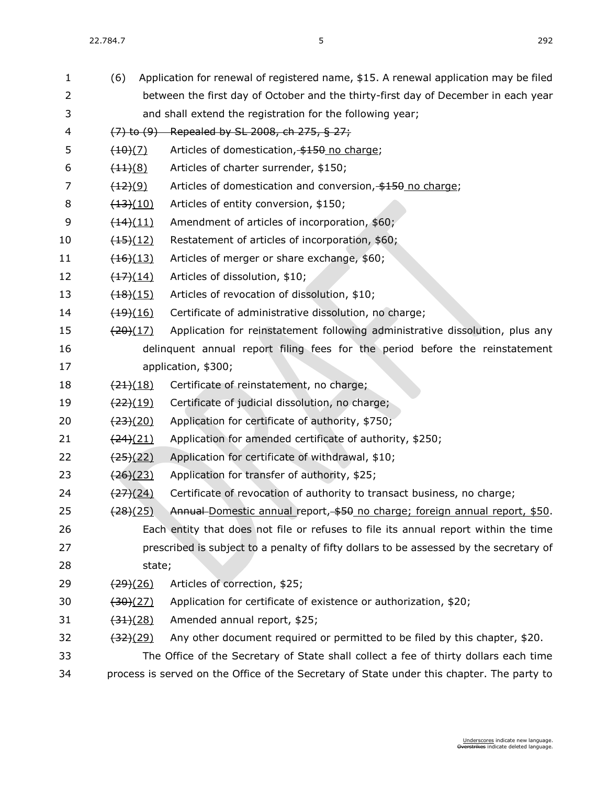|                                  | between the first day of October and the thirty-first day of December in each year         |
|----------------------------------|--------------------------------------------------------------------------------------------|
|                                  | and shall extend the registration for the following year;                                  |
|                                  | $(7)$ to $(9)$ Repealed by SL 2008, ch 275, § 27;                                          |
| $\frac{(10)(7)}{2}$              | Articles of domestication, \$150 no charge;                                                |
| $\frac{(11)(8)}{2}$              | Articles of charter surrender, \$150;                                                      |
| $\frac{(12)(9)}{2}$              | Articles of domestication and conversion, \$150 no charge;                                 |
| $\frac{(13)(10)}{2}$             | Articles of entity conversion, \$150;                                                      |
| $\left(14\right)\left(11\right)$ | Amendment of articles of incorporation, \$60;                                              |
| $\frac{(15)(12)}{2}$             | Restatement of articles of incorporation, \$60;                                            |
| $\frac{(16)(13)}{2}$             | Articles of merger or share exchange, \$60;                                                |
| $\frac{(17)(14)}{2}$             | Articles of dissolution, \$10;                                                             |
| $\frac{(18)(15)}{2}$             | Articles of revocation of dissolution, \$10;                                               |
| $\frac{(19)(16)}{2}$             | Certificate of administrative dissolution, no charge;                                      |
| $\frac{(20)(17)}{2}$             | Application for reinstatement following administrative dissolution, plus any               |
|                                  | delinquent annual report filing fees for the period before the reinstatement               |
|                                  | application, \$300;                                                                        |
| $\frac{(24)(18)}{2}$             | Certificate of reinstatement, no charge;                                                   |
| $\frac{(22)(19)}{2}$             | Certificate of judicial dissolution, no charge;                                            |
| <del>(23)</del> (20)             | Application for certificate of authority, \$750;                                           |
| $\left(24\right)(21)$            | Application for amended certificate of authority, \$250;                                   |
| $\frac{(25)(22)}{2}$             | Application for certificate of withdrawal, \$10;                                           |
| $\frac{(26)(23)}{2}$             | Application for transfer of authority, \$25;                                               |
| $\frac{(27)(24)}{2}$             | Certificate of revocation of authority to transact business, no charge;                    |
| <del>(28)</del> (25)             | Annual-Domestic annual report, \$50 no charge; foreign annual report, \$50.                |
|                                  | Each entity that does not file or refuses to file its annual report within the time        |
|                                  | prescribed is subject to a penalty of fifty dollars to be assessed by the secretary of     |
|                                  |                                                                                            |
| $\frac{(29)(26)}{2}$             | Articles of correction, \$25;                                                              |
| $\left( 30 \right) (27)$         | Application for certificate of existence or authorization, \$20;                           |
| $\frac{(34)(28)}{2}$             | Amended annual report, \$25;                                                               |
| $\frac{(32)(29)}{2}$             | Any other document required or permitted to be filed by this chapter, \$20.                |
|                                  | The Office of the Secretary of State shall collect a fee of thirty dollars each time       |
|                                  | process is served on the Office of the Secretary of State under this chapter. The party to |
|                                  | state;                                                                                     |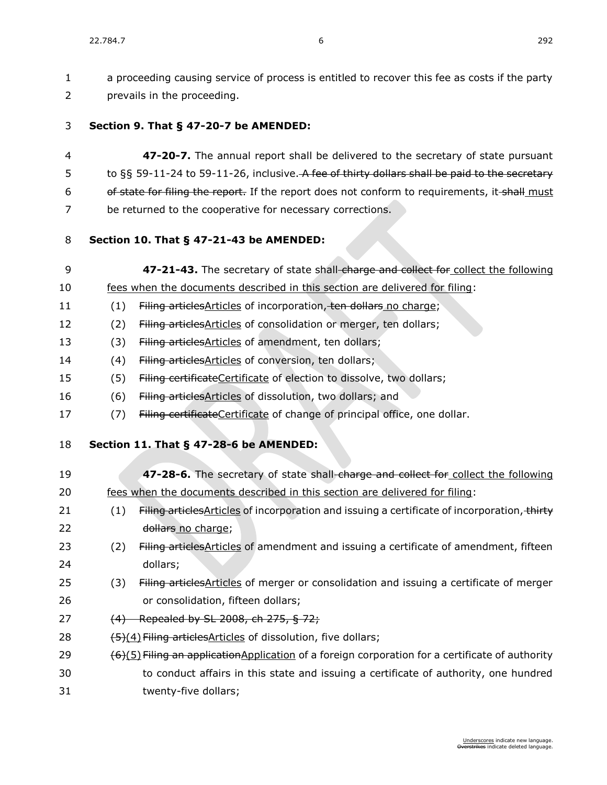a proceeding causing service of process is entitled to recover this fee as costs if the party prevails in the proceeding.

#### **Section 9. [That § 47-20-7 be AMENDED:](https://sdlegislature.gov/Statutes?Statute=47-20-7)**

 **[47-20-7.](https://sdlegislature.gov/Statutes/Codified_Laws/DisplayStatute.aspx?Type=Statute&Statute=47-20-7)** The annual report shall be delivered to the secretary of state pursuant 5 to §§ [59-11-24](https://sdlegislature.gov/Statutes/Codified_Laws/DisplayStatute.aspx?Type=Statute&Statute=59-11-24) to [59-11-26,](https://sdlegislature.gov/Statutes/Codified_Laws/DisplayStatute.aspx?Type=Statute&Statute=59-11-26) inclusive. A fee of thirty dollars shall be paid to the secretary 6 of state for filing the report. If the report does not conform to requirements, it-shall must be returned to the cooperative for necessary corrections.

#### **Section 10. [That § 47-21-43 be AMENDED:](https://sdlegislature.gov/Statutes?Statute=47-21-43)**

- **[47-21-43.](https://sdlegislature.gov/Statutes/Codified_Laws/DisplayStatute.aspx?Type=Statute&Statute=47-21-43)** The secretary of state shall charge and collect for collect the following fees when the documents described in this section are delivered for filing:
- 11 (1) Filing articles Articles of incorporation, ten dollars no charge;
- 12 (2) Filing articles Articles of consolidation or merger, ten dollars;
- 13 (3) Filing articles Articles of amendment, ten dollars;
- 14 (4) Filing articles Articles of conversion, ten dollars;
- 15 (5) Filing certificate Certificate of election to dissolve, two dollars;
- 16 (6) Filing articles Articles of dissolution, two dollars; and
- 17 (7) Filing certificate Certificate of change of principal office, one dollar.

#### **Section 11. [That § 47-28-6 be AMENDED:](https://sdlegislature.gov/Statutes?Statute=47-28-6)**

| 19 |     | 47-28-6. The secretary of state shall-charge and collect for collect the following                 |
|----|-----|----------------------------------------------------------------------------------------------------|
| 20 |     | fees when the documents described in this section are delivered for filing:                        |
| 21 | (1) | Filing articles Articles of incorporation and issuing a certificate of incorporation, thirty       |
| 22 |     | dollars no charge;                                                                                 |
| 23 | (2) | Filing articles Articles of amendment and issuing a certificate of amendment, fifteen              |
| 24 |     | dollars;                                                                                           |
| 25 | (3) | Filing articles Articles of merger or consolidation and issuing a certificate of merger            |
| 26 |     | or consolidation, fifteen dollars;                                                                 |
| 27 |     | (4) Repealed by SL 2008, ch 275, § 72;                                                             |
| 28 |     | (5)(4) Filing articles Articles of dissolution, five dollars;                                      |
| 29 |     | $(6)(5)$ Filing an application Application of a foreign corporation for a certificate of authority |
| 30 |     | to conduct affairs in this state and issuing a certificate of authority, one hundred               |
| 31 |     | twenty-five dollars;                                                                               |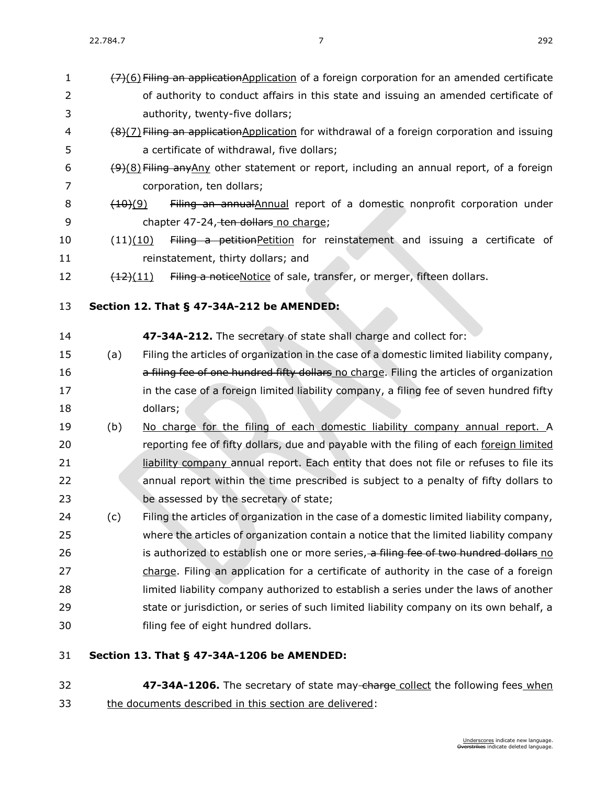- $(7)(6)$  Filing an applicationApplication of a foreign corporation for an amended certificate of authority to conduct affairs in this state and issuing an amended certificate of 4 (8)(7) Filing an applicationApplication for withdrawal of a foreign corporation and issuing
- 6  $\left(9\right)\left(8\right)$  Filing any Any other statement or report, including an annual report, of a foreign corporation, ten dollars;
- 8 (10)(9) Filing an annualAnnual report of a domestic nonprofit corporation under 9 chapter [47-24,](https://sdlegislature.gov/Statutes/Codified_Laws/DisplayStatute.aspx?Type=Statute&Statute=47-24) ten dollars no charge;
- 10 (11)(10) Filing a petitionPetition for reinstatement and issuing a certificate of 11 reinstatement, thirty dollars; and
- 12  $\left(12\right)(11)$  Filing a noticeNotice of sale, transfer, or merger, fifteen dollars.
- **Section 12. [That § 47-34A-212 be AMENDED:](https://sdlegislature.gov/Statutes?Statute=47-34A-212)**

authority, twenty-five dollars;

a certificate of withdrawal, five dollars;

- **[47-34A-212.](https://sdlegislature.gov/Statutes?Statute=47-34A-212)** The secretary of state shall charge and collect for:
- (a) Filing the articles of organization in the case of a domestic limited liability company, **a filing fee of one hundred fifty dollars** no charge. Filing the articles of organization 17 in the case of a foreign limited liability company, a filing fee of seven hundred fifty dollars;
- (b) No charge for the filing of each domestic liability company annual report. A reporting fee of fifty dollars, due and payable with the filing of each foreign limited **liability company annual report. Each entity that does not file or refuses to file its**  annual report within the time prescribed is subject to a penalty of fifty dollars to be assessed by the secretary of state;
- (c) Filing the articles of organization in the case of a domestic limited liability company, where the articles of organization contain a notice that the limited liability company 26 is authorized to establish one or more series, a filing fee of two hundred dollars no 27 charge. Filing an application for a certificate of authority in the case of a foreign limited liability company authorized to establish a series under the laws of another state or jurisdiction, or series of such limited liability company on its own behalf, a filing fee of eight hundred dollars.
- **Section 13. [That § 47-34A-1206 be AMENDED:](https://sdlegislature.gov/Statutes?Statute=47-34A-1206)**
- **[47-34A-1206.](https://sdlegislature.gov/Statutes?Statute=47-34A-1206)** The secretary of state may charge collect the following fees when the documents described in this section are delivered: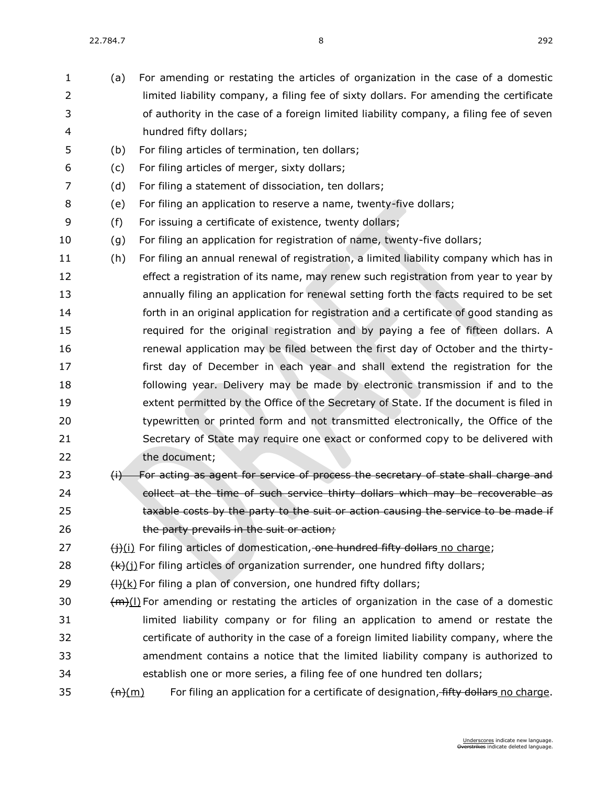(a) For amending or restating the articles of organization in the case of a domestic limited liability company, a filing fee of sixty dollars. For amending the certificate of authority in the case of a foreign limited liability company, a filing fee of seven hundred fifty dollars; (b) For filing articles of termination, ten dollars; (c) For filing articles of merger, sixty dollars; (d) For filing a statement of dissociation, ten dollars; (e) For filing an application to reserve a name, twenty-five dollars; (f) For issuing a certificate of existence, twenty dollars; (g) For filing an application for registration of name, twenty-five dollars; (h) For filing an annual renewal of registration, a limited liability company which has in effect a registration of its name, may renew such registration from year to year by annually filing an application for renewal setting forth the facts required to be set forth in an original application for registration and a certificate of good standing as required for the original registration and by paying a fee of fifteen dollars. A renewal application may be filed between the first day of October and the thirty- first day of December in each year and shall extend the registration for the following year. Delivery may be made by electronic transmission if and to the extent permitted by the Office of the Secretary of State. If the document is filed in typewritten or printed form and not transmitted electronically, the Office of the Secretary of State may require one exact or conformed copy to be delivered with the document; 23 (i) For acting as agent for service of process the secretary of state shall charge and 24 collect at the time of such service thirty dollars which may be recoverable as **taxable costs by the party to the suit or action causing the service to be made if** 26 the party prevails in the suit or action; (i)(i) For filing articles of domestication, one hundred fifty dollars no charge;  $(k)(i)$  For filing articles of organization surrender, one hundred fifty dollars;  $(H)(k)$  For filing a plan of conversion, one hundred fifty dollars;  $30 \left( \frac{dm}{l} \right)$  For amending or restating the articles of organization in the case of a domestic limited liability company or for filing an application to amend or restate the certificate of authority in the case of a foreign limited liability company, where the amendment contains a notice that the limited liability company is authorized to establish one or more series, a filing fee of one hundred ten dollars;  $(m)$  For filing an application for a certificate of designation, fifty dollars no charge.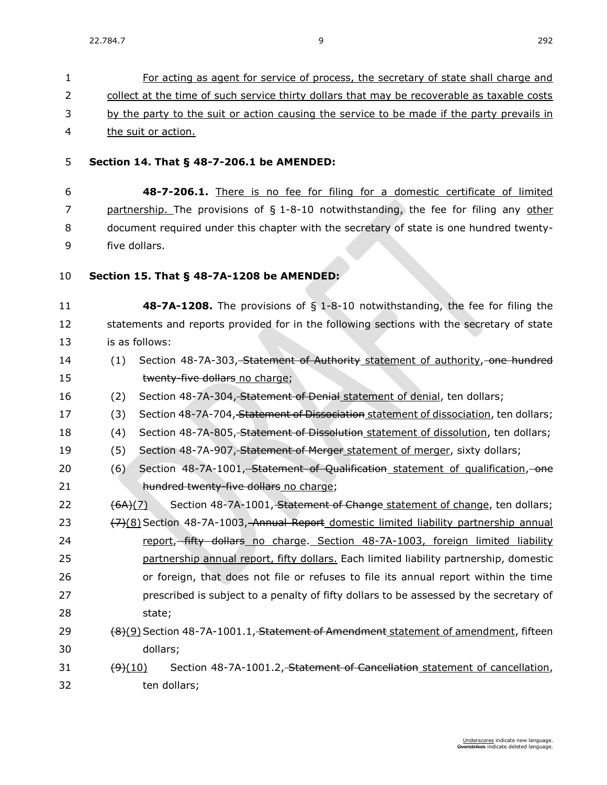| 1              | For acting as agent for service of process, the secretary of state shall charge and                |  |  |  |
|----------------|----------------------------------------------------------------------------------------------------|--|--|--|
| $\overline{2}$ | collect at the time of such service thirty dollars that may be recoverable as taxable costs        |  |  |  |
| 3              | by the party to the suit or action causing the service to be made if the party prevails in         |  |  |  |
| 4              | the suit or action.                                                                                |  |  |  |
| 5              | Section 14. That § 48-7-206.1 be AMENDED:                                                          |  |  |  |
| 6              | 48-7-206.1. There is no fee for filing for a domestic certificate of limited                       |  |  |  |
| 7              | partnership. The provisions of § 1-8-10 notwithstanding, the fee for filing any other              |  |  |  |
| 8              | document required under this chapter with the secretary of state is one hundred twenty-            |  |  |  |
| 9              | five dollars.                                                                                      |  |  |  |
| 10             | Section 15. That § 48-7A-1208 be AMENDED:                                                          |  |  |  |
|                |                                                                                                    |  |  |  |
| 11             | 48-7A-1208. The provisions of § 1-8-10 notwithstanding, the fee for filing the                     |  |  |  |
| 12             | statements and reports provided for in the following sections with the secretary of state          |  |  |  |
| 13             | is as follows:                                                                                     |  |  |  |
| 14             | Section 48-7A-303, Statement of Authority statement of authority, one hundred<br>(1)               |  |  |  |
| 15             | twenty-five dollars no charge;                                                                     |  |  |  |
| 16             | Section 48-7A-304, Statement of Denial statement of denial, ten dollars;<br>(2)                    |  |  |  |
| 17             | Section 48-7A-704, Statement of Dissociation statement of dissociation, ten dollars;<br>(3)        |  |  |  |
| 18             | (4)<br>Section 48-7A-805, Statement of Dissolution statement of dissolution, ten dollars;          |  |  |  |
| 19             | (5)<br>Section 48-7A-907, Statement of Merger statement of merger, sixty dollars;                  |  |  |  |
| 20             | Section 48-7A-1001, Statement of Qualification statement of qualification, one<br>(6)              |  |  |  |
| 21             | hundred twenty-five dollars no charge;                                                             |  |  |  |
| 22             | Section 48-7A-1001, Statement of Change statement of change, ten dollars;<br>(6A)(7)               |  |  |  |
| 23             | (7)(8) Section 48-7A-1003, Annual Report domestic limited liability partnership annual             |  |  |  |
| 24             | report, fifty dollars no charge. Section 48-7A-1003, foreign limited liability                     |  |  |  |
| 25             | partnership annual report, fifty dollars. Each limited liability partnership, domestic             |  |  |  |
| 26             | or foreign, that does not file or refuses to file its annual report within the time                |  |  |  |
| 27             | prescribed is subject to a penalty of fifty dollars to be assessed by the secretary of             |  |  |  |
| 28             | state;                                                                                             |  |  |  |
| 29             | (8)(9) Section 48-7A-1001.1, Statement of Amendment statement of amendment, fifteen                |  |  |  |
| 30             | dollars;                                                                                           |  |  |  |
| 31             | Section 48-7A-1001.2, Statement of Cancellation statement of cancellation,<br>$\left(9\right)(10)$ |  |  |  |
| 32             | ten dollars;                                                                                       |  |  |  |